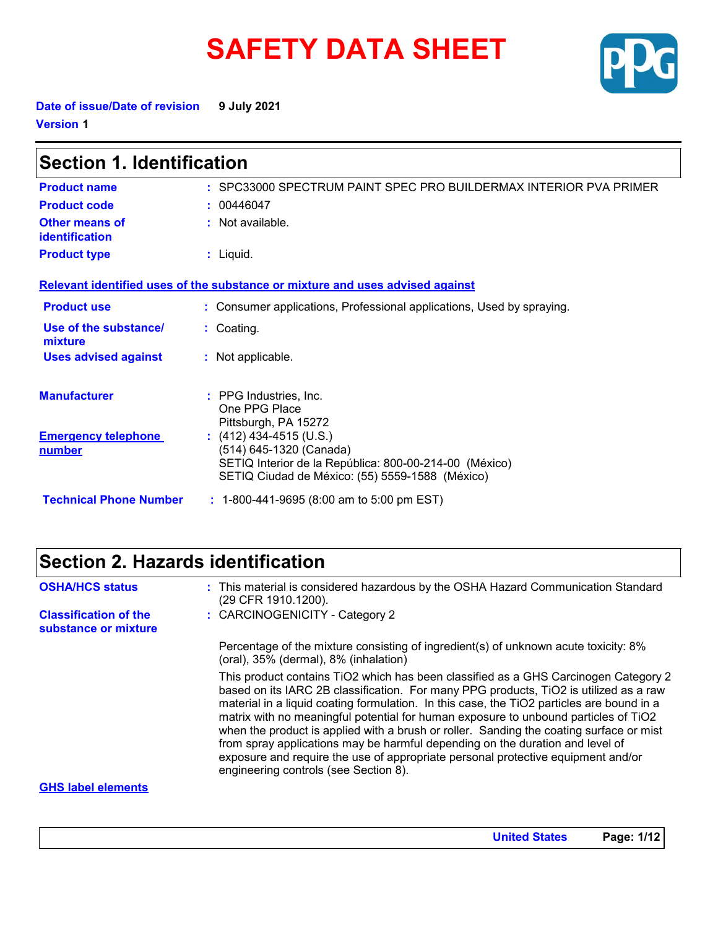# **SAFETY DATA SHEET**



**Date of issue/Date of revision 9 July 2021 Version 1**

| <b>Section 1. Identification</b>            |                                                                                                                                                                 |  |
|---------------------------------------------|-----------------------------------------------------------------------------------------------------------------------------------------------------------------|--|
| <b>Product name</b>                         | : SPC33000 SPECTRUM PAINT SPEC PRO BUILDERMAX INTERIOR PVA PRIMER                                                                                               |  |
| <b>Product code</b>                         | : 00446047                                                                                                                                                      |  |
| Other means of<br>identification            | $:$ Not available.                                                                                                                                              |  |
| <b>Product type</b>                         | $:$ Liquid.                                                                                                                                                     |  |
|                                             | Relevant identified uses of the substance or mixture and uses advised against                                                                                   |  |
| <b>Product use</b>                          | : Consumer applications, Professional applications, Used by spraying.                                                                                           |  |
| Use of the substance/<br>mixture            | : Coating.                                                                                                                                                      |  |
| <b>Uses advised against</b>                 | : Not applicable.                                                                                                                                               |  |
| <b>Manufacturer</b>                         | : PPG Industries, Inc.<br>One PPG Place<br>Pittsburgh, PA 15272                                                                                                 |  |
| <b>Emergency telephone</b><br><u>number</u> | $(412)$ 434-4515 (U.S.)<br>(514) 645-1320 (Canada)<br>SETIQ Interior de la República: 800-00-214-00 (México)<br>SETIQ Ciudad de México: (55) 5559-1588 (México) |  |
| <b>Technical Phone Number</b>               | $: 1-800-441-9695 (8:00 am to 5:00 pm EST)$                                                                                                                     |  |

# **Section 2. Hazards identification**

| <b>OSHA/HCS status</b>                               | : This material is considered hazardous by the OSHA Hazard Communication Standard<br>(29 CFR 1910.1200).                                                                                                                                                                                                                                                                                                                                                                                                                                                                                                                                                                  |
|------------------------------------------------------|---------------------------------------------------------------------------------------------------------------------------------------------------------------------------------------------------------------------------------------------------------------------------------------------------------------------------------------------------------------------------------------------------------------------------------------------------------------------------------------------------------------------------------------------------------------------------------------------------------------------------------------------------------------------------|
| <b>Classification of the</b><br>substance or mixture | : CARCINOGENICITY - Category 2                                                                                                                                                                                                                                                                                                                                                                                                                                                                                                                                                                                                                                            |
|                                                      | Percentage of the mixture consisting of ingredient(s) of unknown acute toxicity: 8%<br>(oral), 35% (dermal), 8% (inhalation)                                                                                                                                                                                                                                                                                                                                                                                                                                                                                                                                              |
|                                                      | This product contains TiO2 which has been classified as a GHS Carcinogen Category 2<br>based on its IARC 2B classification. For many PPG products, TiO2 is utilized as a raw<br>material in a liquid coating formulation. In this case, the TiO2 particles are bound in a<br>matrix with no meaningful potential for human exposure to unbound particles of TiO2<br>when the product is applied with a brush or roller. Sanding the coating surface or mist<br>from spray applications may be harmful depending on the duration and level of<br>exposure and require the use of appropriate personal protective equipment and/or<br>engineering controls (see Section 8). |
| <b>GHS label elements</b>                            |                                                                                                                                                                                                                                                                                                                                                                                                                                                                                                                                                                                                                                                                           |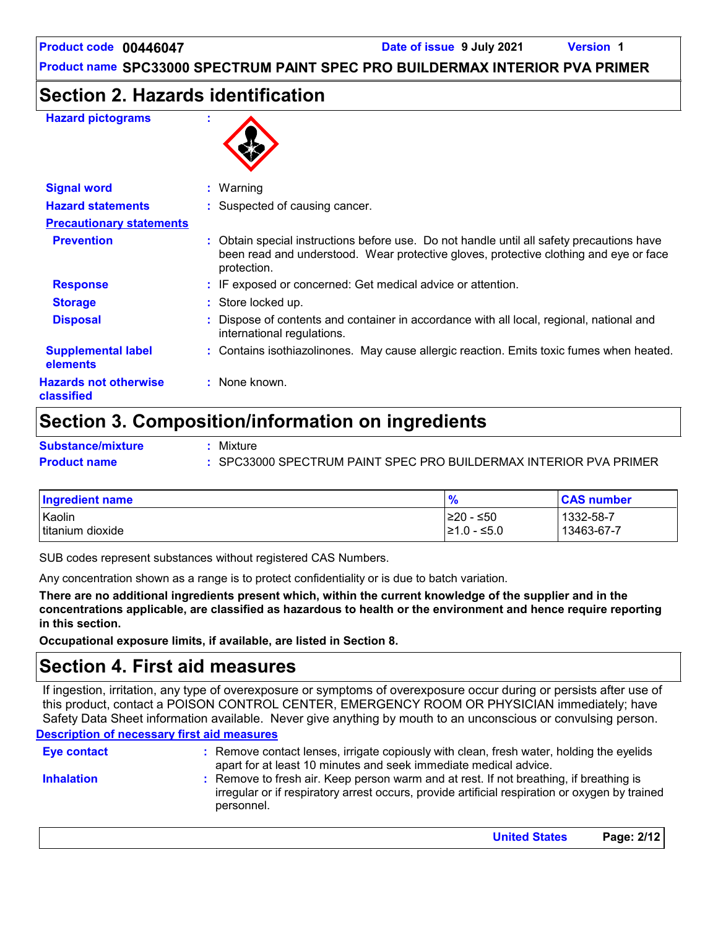### **Section 2. Hazards identification**

#### **Hazard pictograms :**



| <b>Signal word</b>                         | $:$ Warning   |                                                                                                                                                                                    |
|--------------------------------------------|---------------|------------------------------------------------------------------------------------------------------------------------------------------------------------------------------------|
| <b>Hazard statements</b>                   |               | : Suspected of causing cancer.                                                                                                                                                     |
| <b>Precautionary statements</b>            |               |                                                                                                                                                                                    |
| <b>Prevention</b>                          | protection.   | : Obtain special instructions before use. Do not handle until all safety precautions have<br>been read and understood. Wear protective gloves, protective clothing and eye or face |
| <b>Response</b>                            |               | : IF exposed or concerned: Get medical advice or attention.                                                                                                                        |
| <b>Storage</b>                             |               | : Store locked up.                                                                                                                                                                 |
| <b>Disposal</b>                            |               | : Dispose of contents and container in accordance with all local, regional, national and<br>international regulations.                                                             |
| <b>Supplemental label</b><br>elements      |               | : Contains isothiazolinones. May cause allergic reaction. Emits toxic fumes when heated.                                                                                           |
| <b>Hazards not otherwise</b><br>classified | : None known. |                                                                                                                                                                                    |

### **Section 3. Composition/information on ingredients**

| <b>Substance/mixture</b> | Mixture                                                         |
|--------------------------|-----------------------------------------------------------------|
| <b>Product name</b>      | SPC33000 SPECTRUM PAINT SPEC PRO BUILDERMAX INTERIOR PVA PRIMER |

| Ingredient name            | $\frac{9}{6}$                 | <b>CAS number</b>       |
|----------------------------|-------------------------------|-------------------------|
| Kaolin<br>titanium dioxide | ≥20 - ≤50<br>$\geq 1.0 - 5.0$ | 1332-58-7<br>13463-67-7 |
|                            |                               |                         |

SUB codes represent substances without registered CAS Numbers.

Any concentration shown as a range is to protect confidentiality or is due to batch variation.

**There are no additional ingredients present which, within the current knowledge of the supplier and in the concentrations applicable, are classified as hazardous to health or the environment and hence require reporting in this section.**

**Occupational exposure limits, if available, are listed in Section 8.**

### **Section 4. First aid measures**

**Description of necessary first aid measures** If ingestion, irritation, any type of overexposure or symptoms of overexposure occur during or persists after use of this product, contact a POISON CONTROL CENTER, EMERGENCY ROOM OR PHYSICIAN immediately; have Safety Data Sheet information available. Never give anything by mouth to an unconscious or convulsing person.

| <b>Eye contact</b> | : Remove contact lenses, irrigate copiously with clean, fresh water, holding the eyelids<br>apart for at least 10 minutes and seek immediate medical advice.                                           |
|--------------------|--------------------------------------------------------------------------------------------------------------------------------------------------------------------------------------------------------|
| <b>Inhalation</b>  | : Remove to fresh air. Keep person warm and at rest. If not breathing, if breathing is<br>irregular or if respiratory arrest occurs, provide artificial respiration or oxygen by trained<br>personnel. |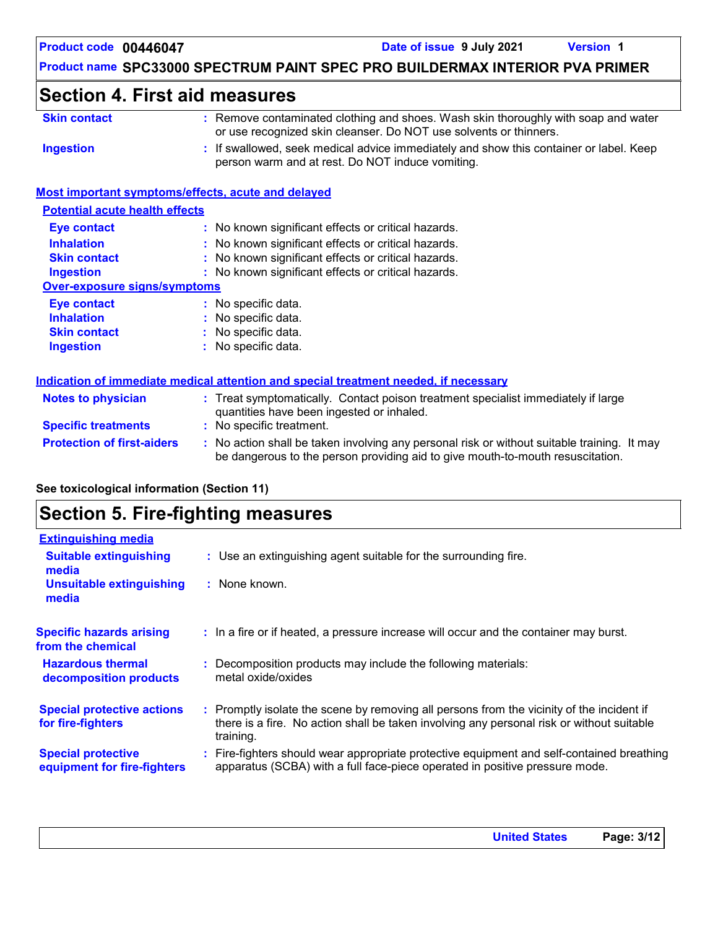### **Section 4. First aid measures**

| <b>Skin contact</b> | : Remove contaminated clothing and shoes. Wash skin thoroughly with soap and water<br>or use recognized skin cleanser. Do NOT use solvents or thinners. |
|---------------------|---------------------------------------------------------------------------------------------------------------------------------------------------------|
| Ingestion           | : If swallowed, seek medical advice immediately and show this container or label. Keep<br>person warm and at rest. Do NOT induce vomiting.              |

#### **Most important symptoms/effects, acute and delayed**

| <b>Eye contact</b>           | : No known significant effects or critical hazards. |
|------------------------------|-----------------------------------------------------|
| <b>Inhalation</b>            | : No known significant effects or critical hazards. |
| <b>Skin contact</b>          | : No known significant effects or critical hazards. |
| <b>Ingestion</b>             | : No known significant effects or critical hazards. |
| Over-exposure signs/symptoms |                                                     |
| <b>Eye contact</b>           | : No specific data.                                 |
| <b>Inhalation</b>            | : No specific data.                                 |
| <b>Skin contact</b>          | : No specific data.                                 |
| <b>Ingestion</b>             | : No specific data.                                 |

|                                   | <u>mulcation of immediate medical attention and special treatment needed, if necessary</u>                                                                                    |
|-----------------------------------|-------------------------------------------------------------------------------------------------------------------------------------------------------------------------------|
| <b>Notes to physician</b>         | : Treat symptomatically. Contact poison treatment specialist immediately if large<br>quantities have been ingested or inhaled.                                                |
| <b>Specific treatments</b>        | : No specific treatment.                                                                                                                                                      |
| <b>Protection of first-aiders</b> | : No action shall be taken involving any personal risk or without suitable training. It may<br>be dangerous to the person providing aid to give mouth-to-mouth resuscitation. |

#### **See toxicological information (Section 11)**

# **Section 5. Fire-fighting measures**

| <b>Extinguishing media</b>                               |                                                                                                                                                                                                     |
|----------------------------------------------------------|-----------------------------------------------------------------------------------------------------------------------------------------------------------------------------------------------------|
| <b>Suitable extinguishing</b><br>media                   | : Use an extinguishing agent suitable for the surrounding fire.                                                                                                                                     |
| <b>Unsuitable extinguishing</b><br>media                 | : None known.                                                                                                                                                                                       |
| <b>Specific hazards arising</b><br>from the chemical     | : In a fire or if heated, a pressure increase will occur and the container may burst.                                                                                                               |
| <b>Hazardous thermal</b><br>decomposition products       | : Decomposition products may include the following materials:<br>metal oxide/oxides                                                                                                                 |
| <b>Special protective actions</b><br>for fire-fighters   | : Promptly isolate the scene by removing all persons from the vicinity of the incident if<br>there is a fire. No action shall be taken involving any personal risk or without suitable<br>training. |
| <b>Special protective</b><br>equipment for fire-fighters | : Fire-fighters should wear appropriate protective equipment and self-contained breathing<br>apparatus (SCBA) with a full face-piece operated in positive pressure mode.                            |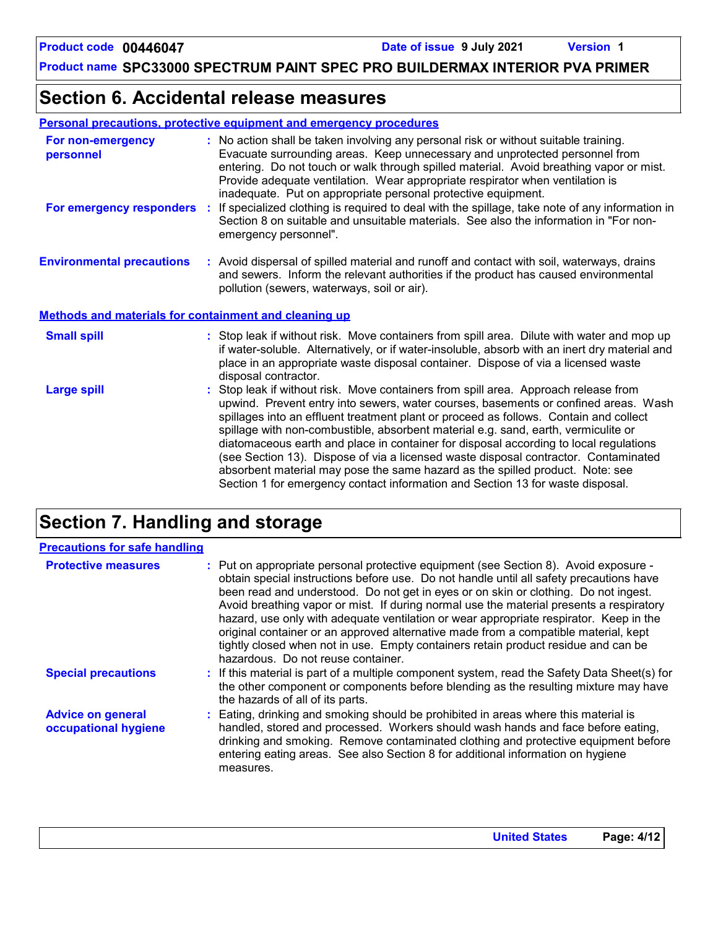### **Section 6. Accidental release measures**

| <b>Personal precautions, protective equipment and emergency procedures</b> |
|----------------------------------------------------------------------------|
|----------------------------------------------------------------------------|

| For non-emergency<br>personnel                               | : No action shall be taken involving any personal risk or without suitable training.<br>Evacuate surrounding areas. Keep unnecessary and unprotected personnel from<br>entering. Do not touch or walk through spilled material. Avoid breathing vapor or mist.<br>Provide adequate ventilation. Wear appropriate respirator when ventilation is<br>inadequate. Put on appropriate personal protective equipment.                                                                                                                                                                                                                                                                                             |
|--------------------------------------------------------------|--------------------------------------------------------------------------------------------------------------------------------------------------------------------------------------------------------------------------------------------------------------------------------------------------------------------------------------------------------------------------------------------------------------------------------------------------------------------------------------------------------------------------------------------------------------------------------------------------------------------------------------------------------------------------------------------------------------|
| For emergency responders                                     | : If specialized clothing is required to deal with the spillage, take note of any information in<br>Section 8 on suitable and unsuitable materials. See also the information in "For non-<br>emergency personnel".                                                                                                                                                                                                                                                                                                                                                                                                                                                                                           |
| <b>Environmental precautions</b>                             | : Avoid dispersal of spilled material and runoff and contact with soil, waterways, drains<br>and sewers. Inform the relevant authorities if the product has caused environmental<br>pollution (sewers, waterways, soil or air).                                                                                                                                                                                                                                                                                                                                                                                                                                                                              |
| <b>Methods and materials for containment and cleaning up</b> |                                                                                                                                                                                                                                                                                                                                                                                                                                                                                                                                                                                                                                                                                                              |
| <b>Small spill</b>                                           | : Stop leak if without risk. Move containers from spill area. Dilute with water and mop up<br>if water-soluble. Alternatively, or if water-insoluble, absorb with an inert dry material and<br>place in an appropriate waste disposal container. Dispose of via a licensed waste<br>disposal contractor.                                                                                                                                                                                                                                                                                                                                                                                                     |
| <b>Large spill</b>                                           | : Stop leak if without risk. Move containers from spill area. Approach release from<br>upwind. Prevent entry into sewers, water courses, basements or confined areas. Wash<br>spillages into an effluent treatment plant or proceed as follows. Contain and collect<br>spillage with non-combustible, absorbent material e.g. sand, earth, vermiculite or<br>diatomaceous earth and place in container for disposal according to local regulations<br>(see Section 13). Dispose of via a licensed waste disposal contractor. Contaminated<br>absorbent material may pose the same hazard as the spilled product. Note: see<br>Section 1 for emergency contact information and Section 13 for waste disposal. |

# **Section 7. Handling and storage**

| <b>Precautions for safe handling</b>             |                                                                                                                                                                                                                                                                                                                                                                                                                                                                                                                                                                                                                                                                                |
|--------------------------------------------------|--------------------------------------------------------------------------------------------------------------------------------------------------------------------------------------------------------------------------------------------------------------------------------------------------------------------------------------------------------------------------------------------------------------------------------------------------------------------------------------------------------------------------------------------------------------------------------------------------------------------------------------------------------------------------------|
| <b>Protective measures</b>                       | : Put on appropriate personal protective equipment (see Section 8). Avoid exposure -<br>obtain special instructions before use. Do not handle until all safety precautions have<br>been read and understood. Do not get in eyes or on skin or clothing. Do not ingest.<br>Avoid breathing vapor or mist. If during normal use the material presents a respiratory<br>hazard, use only with adequate ventilation or wear appropriate respirator. Keep in the<br>original container or an approved alternative made from a compatible material, kept<br>tightly closed when not in use. Empty containers retain product residue and can be<br>hazardous. Do not reuse container. |
| <b>Special precautions</b>                       | : If this material is part of a multiple component system, read the Safety Data Sheet(s) for<br>the other component or components before blending as the resulting mixture may have<br>the hazards of all of its parts.                                                                                                                                                                                                                                                                                                                                                                                                                                                        |
| <b>Advice on general</b><br>occupational hygiene | : Eating, drinking and smoking should be prohibited in areas where this material is<br>handled, stored and processed. Workers should wash hands and face before eating,<br>drinking and smoking. Remove contaminated clothing and protective equipment before<br>entering eating areas. See also Section 8 for additional information on hygiene<br>measures.                                                                                                                                                                                                                                                                                                                  |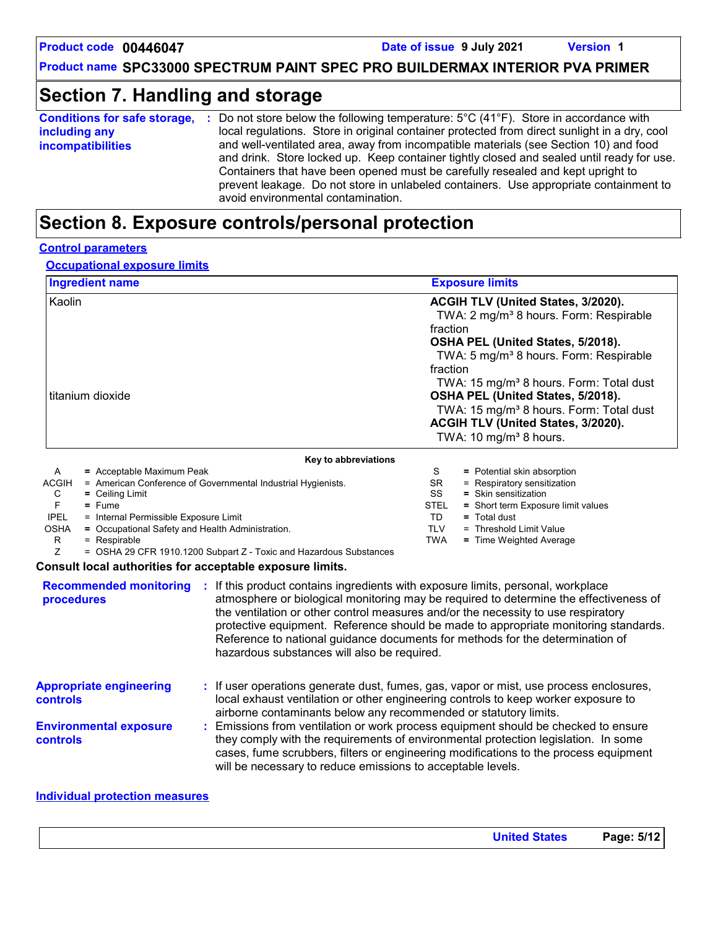# **Section 7. Handling and storage**

| <b>Conditions for safe storage,</b> | : Do not store below the following temperature: $5^{\circ}$ C (41 $^{\circ}$ F). Store in accordance with                                                                                                                                                                                                                                                                                           |
|-------------------------------------|-----------------------------------------------------------------------------------------------------------------------------------------------------------------------------------------------------------------------------------------------------------------------------------------------------------------------------------------------------------------------------------------------------|
| including any                       | local regulations. Store in original container protected from direct sunlight in a dry, cool                                                                                                                                                                                                                                                                                                        |
| <i>incompatibilities</i>            | and well-ventilated area, away from incompatible materials (see Section 10) and food<br>and drink. Store locked up. Keep container tightly closed and sealed until ready for use.<br>Containers that have been opened must be carefully resealed and kept upright to<br>prevent leakage. Do not store in unlabeled containers. Use appropriate containment to<br>avoid environmental contamination. |

# **Section 8. Exposure controls/personal protection**

#### **Control parameters**

#### **Occupational exposure limits**

| <b>Ingredient name</b>                                                                                                                                                                                                                                                                                      |                                                                                                                                    | <b>Exposure limits</b>                                                                                                                                                                                                                                                                                                                                                                                                                         |
|-------------------------------------------------------------------------------------------------------------------------------------------------------------------------------------------------------------------------------------------------------------------------------------------------------------|------------------------------------------------------------------------------------------------------------------------------------|------------------------------------------------------------------------------------------------------------------------------------------------------------------------------------------------------------------------------------------------------------------------------------------------------------------------------------------------------------------------------------------------------------------------------------------------|
| Kaolin<br>titanium dioxide                                                                                                                                                                                                                                                                                  |                                                                                                                                    | ACGIH TLV (United States, 3/2020).<br>TWA: 2 mg/m <sup>3</sup> 8 hours. Form: Respirable<br>fraction<br>OSHA PEL (United States, 5/2018).<br>TWA: 5 mg/m <sup>3</sup> 8 hours. Form: Respirable<br>fraction<br>TWA: 15 mg/m <sup>3</sup> 8 hours. Form: Total dust<br>OSHA PEL (United States, 5/2018).<br>TWA: 15 mg/m <sup>3</sup> 8 hours. Form: Total dust<br>ACGIH TLV (United States, 3/2020).<br>TWA: 10 mg/m <sup>3</sup> 8 hours.     |
|                                                                                                                                                                                                                                                                                                             | Key to abbreviations                                                                                                               |                                                                                                                                                                                                                                                                                                                                                                                                                                                |
| A<br>= Acceptable Maximum Peak<br><b>ACGIH</b><br>$=$ Ceiling Limit<br>С<br>F<br>$=$ Fume<br><b>IPEL</b><br>= Internal Permissible Exposure Limit<br><b>OSHA</b><br>= Occupational Safety and Health Administration.<br>= Respirable<br>R<br>Z<br>Consult local authorities for acceptable exposure limits. | = American Conference of Governmental Industrial Hygienists.<br>= OSHA 29 CFR 1910.1200 Subpart Z - Toxic and Hazardous Substances | S<br>= Potential skin absorption<br><b>SR</b><br>= Respiratory sensitization<br>SS<br>= Skin sensitization<br><b>STEL</b><br>= Short term Exposure limit values<br>TD.<br>$=$ Total dust<br><b>TLV</b><br>= Threshold Limit Value<br><b>TWA</b><br>= Time Weighted Average                                                                                                                                                                     |
| <b>Recommended monitoring :</b><br>procedures                                                                                                                                                                                                                                                               | hazardous substances will also be required.                                                                                        | If this product contains ingredients with exposure limits, personal, workplace<br>atmosphere or biological monitoring may be required to determine the effectiveness of<br>the ventilation or other control measures and/or the necessity to use respiratory<br>protective equipment. Reference should be made to appropriate monitoring standards.<br>Reference to national guidance documents for methods for the determination of           |
| <b>Appropriate engineering</b><br>controls<br><b>Environmental exposure</b><br>controls                                                                                                                                                                                                                     | airborne contaminants below any recommended or statutory limits.<br>will be necessary to reduce emissions to acceptable levels.    | : If user operations generate dust, fumes, gas, vapor or mist, use process enclosures,<br>local exhaust ventilation or other engineering controls to keep worker exposure to<br>Emissions from ventilation or work process equipment should be checked to ensure<br>they comply with the requirements of environmental protection legislation. In some<br>cases, fume scrubbers, filters or engineering modifications to the process equipment |

#### **Individual protection measures**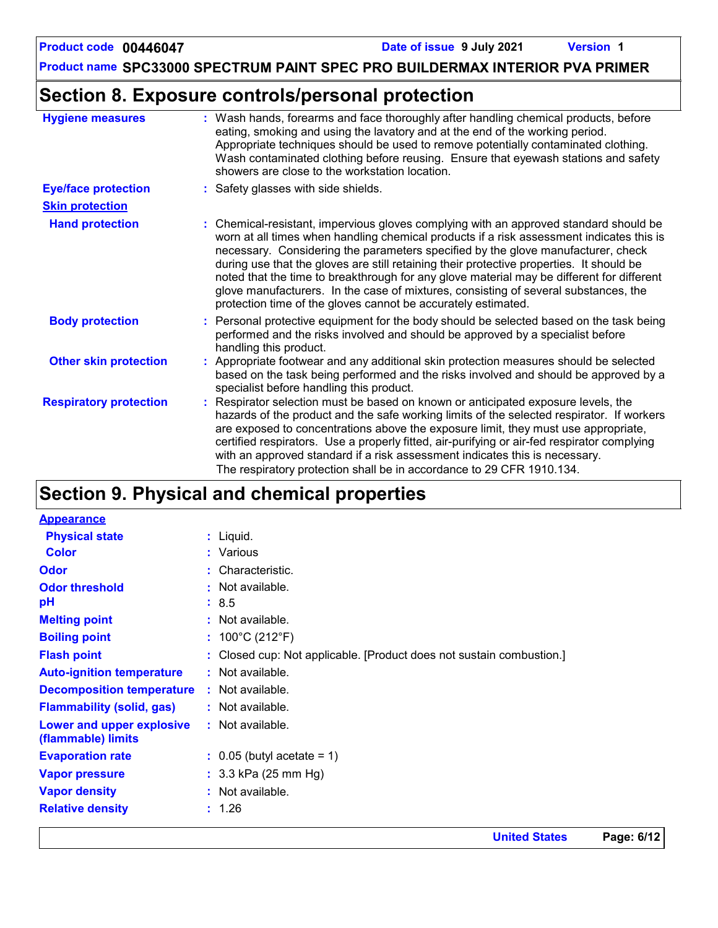### **Product name SPC33000 SPECTRUM PAINT SPEC PRO BUILDERMAX INTERIOR PVA PRIMER**

## **Section 8. Exposure controls/personal protection**

| <b>Hygiene measures</b>       | : Wash hands, forearms and face thoroughly after handling chemical products, before<br>eating, smoking and using the lavatory and at the end of the working period.<br>Appropriate techniques should be used to remove potentially contaminated clothing.<br>Wash contaminated clothing before reusing. Ensure that eyewash stations and safety<br>showers are close to the workstation location.                                                                                                                                                                                                                      |
|-------------------------------|------------------------------------------------------------------------------------------------------------------------------------------------------------------------------------------------------------------------------------------------------------------------------------------------------------------------------------------------------------------------------------------------------------------------------------------------------------------------------------------------------------------------------------------------------------------------------------------------------------------------|
| <b>Eye/face protection</b>    | : Safety glasses with side shields.                                                                                                                                                                                                                                                                                                                                                                                                                                                                                                                                                                                    |
| <b>Skin protection</b>        |                                                                                                                                                                                                                                                                                                                                                                                                                                                                                                                                                                                                                        |
| <b>Hand protection</b>        | : Chemical-resistant, impervious gloves complying with an approved standard should be<br>worn at all times when handling chemical products if a risk assessment indicates this is<br>necessary. Considering the parameters specified by the glove manufacturer, check<br>during use that the gloves are still retaining their protective properties. It should be<br>noted that the time to breakthrough for any glove material may be different for different<br>glove manufacturers. In the case of mixtures, consisting of several substances, the<br>protection time of the gloves cannot be accurately estimated. |
| <b>Body protection</b>        | : Personal protective equipment for the body should be selected based on the task being<br>performed and the risks involved and should be approved by a specialist before<br>handling this product.                                                                                                                                                                                                                                                                                                                                                                                                                    |
| <b>Other skin protection</b>  | : Appropriate footwear and any additional skin protection measures should be selected<br>based on the task being performed and the risks involved and should be approved by a<br>specialist before handling this product.                                                                                                                                                                                                                                                                                                                                                                                              |
| <b>Respiratory protection</b> | : Respirator selection must be based on known or anticipated exposure levels, the<br>hazards of the product and the safe working limits of the selected respirator. If workers<br>are exposed to concentrations above the exposure limit, they must use appropriate,<br>certified respirators. Use a properly fitted, air-purifying or air-fed respirator complying<br>with an approved standard if a risk assessment indicates this is necessary.<br>The respiratory protection shall be in accordance to 29 CFR 1910.134.                                                                                            |

# **Section 9. Physical and chemical properties**

| <b>Physical state</b><br>$:$ Liquid.<br><b>Color</b><br>: Various<br>: Characteristic.<br><b>Odor</b><br>: Not available.<br><b>Odor threshold</b> | <b>Appearance</b> |  |
|----------------------------------------------------------------------------------------------------------------------------------------------------|-------------------|--|
|                                                                                                                                                    |                   |  |
|                                                                                                                                                    |                   |  |
|                                                                                                                                                    |                   |  |
|                                                                                                                                                    |                   |  |
| pH<br>: 8.5                                                                                                                                        |                   |  |
| <b>Melting point</b><br>: Not available.                                                                                                           |                   |  |
| <b>Boiling point</b><br>: $100^{\circ}$ C (212 $^{\circ}$ F)                                                                                       |                   |  |
| <b>Flash point</b><br>: Closed cup: Not applicable. [Product does not sustain combustion.]                                                         |                   |  |
| : Not available.<br><b>Auto-ignition temperature</b>                                                                                               |                   |  |
| <b>Decomposition temperature</b><br>: Not available.                                                                                               |                   |  |
| <b>Flammability (solid, gas)</b><br>: Not available.                                                                                               |                   |  |
| Lower and upper explosive<br>: Not available.                                                                                                      |                   |  |
| (flammable) limits                                                                                                                                 |                   |  |
| $\therefore$ 0.05 (butyl acetate = 1)<br><b>Evaporation rate</b>                                                                                   |                   |  |
| : $3.3$ kPa (25 mm Hg)<br><b>Vapor pressure</b>                                                                                                    |                   |  |
| <b>Vapor density</b><br>: Not available.                                                                                                           |                   |  |
| <b>Relative density</b><br>: 1.26                                                                                                                  |                   |  |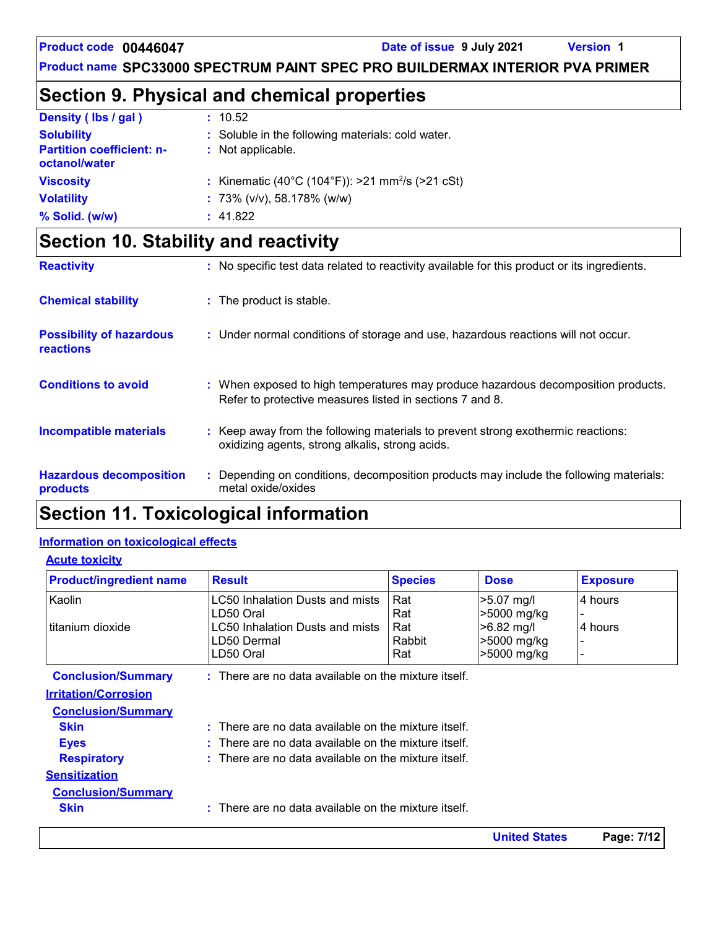**United States Page: 7/12**

**Product name SPC33000 SPECTRUM PAINT SPEC PRO BUILDERMAX INTERIOR PVA PRIMER**

# **Section 9. Physical and chemical properties**

| Density (lbs / gal)                                                    | : 10.52                                                                |
|------------------------------------------------------------------------|------------------------------------------------------------------------|
| <b>Solubility</b><br><b>Partition coefficient: n-</b><br>octanol/water | : Soluble in the following materials: cold water.<br>: Not applicable. |
| <b>Viscosity</b>                                                       | : Kinematic (40°C (104°F)): >21 mm <sup>2</sup> /s (>21 cSt)           |
| <b>Volatility</b>                                                      | : 73% ( $v/v$ ), 58.178% ( $w/w$ )                                     |
| % Solid. (w/w)                                                         | : 41.822                                                               |

# **Section 10. Stability and reactivity**

| <b>Reactivity</b>                            | : No specific test data related to reactivity available for this product or its ingredients.                                                  |
|----------------------------------------------|-----------------------------------------------------------------------------------------------------------------------------------------------|
| <b>Chemical stability</b>                    | : The product is stable.                                                                                                                      |
| <b>Possibility of hazardous</b><br>reactions | : Under normal conditions of storage and use, hazardous reactions will not occur.                                                             |
| <b>Conditions to avoid</b>                   | : When exposed to high temperatures may produce hazardous decomposition products.<br>Refer to protective measures listed in sections 7 and 8. |
| <b>Incompatible materials</b>                | : Keep away from the following materials to prevent strong exothermic reactions:<br>oxidizing agents, strong alkalis, strong acids.           |
| <b>Hazardous decomposition</b><br>products   | : Depending on conditions, decomposition products may include the following materials:<br>metal oxide/oxides                                  |

# **Section 11. Toxicological information**

#### **Information on toxicological effects**

**Acute toxicity**

| <b>Product/ingredient name</b> | <b>Result</b>                                                   | <b>Species</b> | <b>Dose</b> | <b>Exposure</b> |
|--------------------------------|-----------------------------------------------------------------|----------------|-------------|-----------------|
| Kaolin                         | LC50 Inhalation Dusts and mists                                 | Rat            | >5.07 mg/l  | 4 hours         |
|                                | LD50 Oral                                                       | Rat            | >5000 mg/kg |                 |
| titanium dioxide               | <b>LC50 Inhalation Dusts and mists</b>                          | Rat            | >6.82 mg/l  | 4 hours         |
|                                | LD50 Dermal                                                     | Rabbit         | >5000 mg/kg |                 |
|                                | LD50 Oral                                                       | Rat            | >5000 mg/kg |                 |
| <b>Conclusion/Summary</b>      | $:$ There are no data available on the mixture itself.          |                |             |                 |
| <b>Irritation/Corrosion</b>    |                                                                 |                |             |                 |
| <b>Conclusion/Summary</b>      |                                                                 |                |             |                 |
| <b>Skin</b>                    | $\therefore$ There are no data available on the mixture itself. |                |             |                 |
| <b>Eyes</b>                    | $\therefore$ There are no data available on the mixture itself. |                |             |                 |
| <b>Respiratory</b>             | $\therefore$ There are no data available on the mixture itself. |                |             |                 |
| <b>Sensitization</b>           |                                                                 |                |             |                 |
| <b>Conclusion/Summary</b>      |                                                                 |                |             |                 |
| <b>Skin</b>                    | There are no data available on the mixture itself.              |                |             |                 |
|                                |                                                                 |                |             |                 |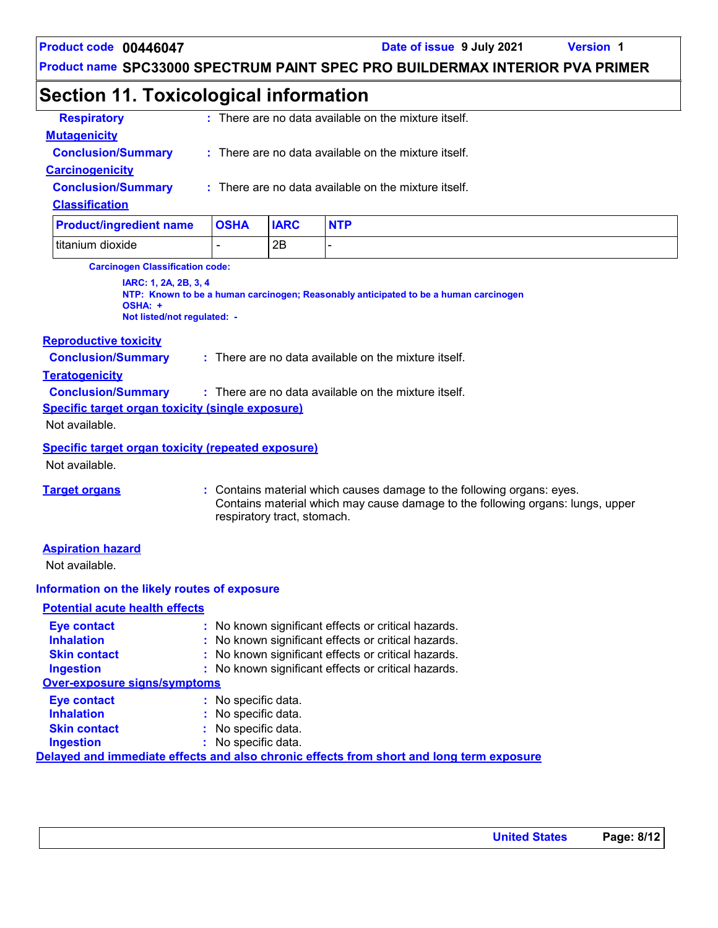**Product name SPC33000 SPECTRUM PAINT SPEC PRO BUILDERMAX INTERIOR PVA PRIMER**

## **Section 11. Toxicological information**

| <b>Respiratory</b>             |             |             | : There are no data available on the mixture itself. |
|--------------------------------|-------------|-------------|------------------------------------------------------|
| <b>Mutagenicity</b>            |             |             |                                                      |
| <b>Conclusion/Summary</b>      |             |             | : There are no data available on the mixture itself. |
| <b>Carcinogenicity</b>         |             |             |                                                      |
| <b>Conclusion/Summary</b>      |             |             | : There are no data available on the mixture itself. |
| <b>Classification</b>          |             |             |                                                      |
| <b>Product/ingredient name</b> | <b>OSHA</b> | <b>IARC</b> | <b>NTP</b>                                           |
| Ititanium dioxide              | -           | 2Β          |                                                      |

**Carcinogen Classification code:**

**IARC: 1, 2A, 2B, 3, 4 NTP: Known to be a human carcinogen; Reasonably anticipated to be a human carcinogen OSHA: + Not listed/not regulated: -**

#### **Reproductive toxicity**

**Conclusion/Summary :** There are no data available on the mixture itself.

#### **Teratogenicity**

**Conclusion/Summary :** : There are no data available on the mixture itself.

**Specific target organ toxicity (single exposure)**

Not available.

#### **Specific target organ toxicity (repeated exposure)**

Not available.

**Target organs :** Contains material which causes damage to the following organs: eyes. Contains material which may cause damage to the following organs: lungs, upper respiratory tract, stomach.

#### **Aspiration hazard**

Not available.

#### **Information on the likely routes of exposure**

#### **Potential acute health effects**

| <b>Eye contact</b>                  | : No known significant effects or critical hazards.                                      |
|-------------------------------------|------------------------------------------------------------------------------------------|
| <b>Inhalation</b>                   | : No known significant effects or critical hazards.                                      |
| <b>Skin contact</b>                 | : No known significant effects or critical hazards.                                      |
| <b>Ingestion</b>                    | : No known significant effects or critical hazards.                                      |
| <b>Over-exposure signs/symptoms</b> |                                                                                          |
| <b>Eye contact</b>                  | : No specific data.                                                                      |
| <b>Inhalation</b>                   | : No specific data.                                                                      |
| <b>Skin contact</b>                 | : No specific data.                                                                      |
| <b>Ingestion</b>                    | : No specific data.                                                                      |
|                                     | Delayed and immediate effects and also chronic effects from short and long term exposure |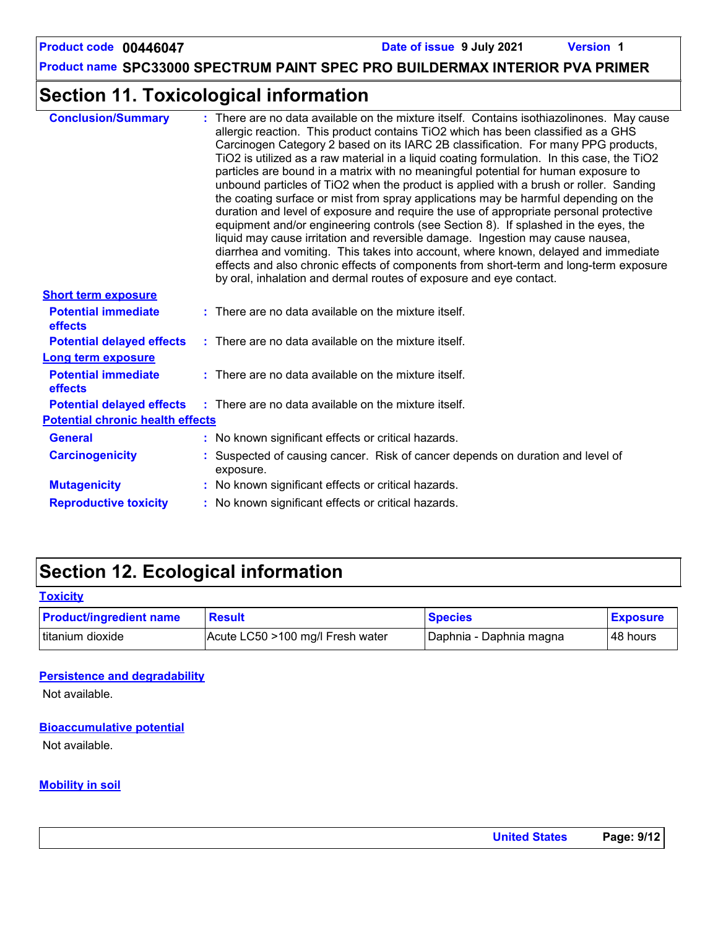**Product name SPC33000 SPECTRUM PAINT SPEC PRO BUILDERMAX INTERIOR PVA PRIMER**

# **Section 11. Toxicological information**

| : There are no data available on the mixture itself. Contains isothiazolinones. May cause<br>allergic reaction. This product contains TiO2 which has been classified as a GHS<br>Carcinogen Category 2 based on its IARC 2B classification. For many PPG products,<br>TiO2 is utilized as a raw material in a liquid coating formulation. In this case, the TiO2<br>particles are bound in a matrix with no meaningful potential for human exposure to<br>unbound particles of TiO2 when the product is applied with a brush or roller. Sanding<br>the coating surface or mist from spray applications may be harmful depending on the<br>duration and level of exposure and require the use of appropriate personal protective<br>equipment and/or engineering controls (see Section 8). If splashed in the eyes, the<br>liquid may cause irritation and reversible damage. Ingestion may cause nausea,<br>diarrhea and vomiting. This takes into account, where known, delayed and immediate<br>effects and also chronic effects of components from short-term and long-term exposure<br>by oral, inhalation and dermal routes of exposure and eye contact. |
|---------------------------------------------------------------------------------------------------------------------------------------------------------------------------------------------------------------------------------------------------------------------------------------------------------------------------------------------------------------------------------------------------------------------------------------------------------------------------------------------------------------------------------------------------------------------------------------------------------------------------------------------------------------------------------------------------------------------------------------------------------------------------------------------------------------------------------------------------------------------------------------------------------------------------------------------------------------------------------------------------------------------------------------------------------------------------------------------------------------------------------------------------------------|
|                                                                                                                                                                                                                                                                                                                                                                                                                                                                                                                                                                                                                                                                                                                                                                                                                                                                                                                                                                                                                                                                                                                                                               |
| $:$ There are no data available on the mixture itself.                                                                                                                                                                                                                                                                                                                                                                                                                                                                                                                                                                                                                                                                                                                                                                                                                                                                                                                                                                                                                                                                                                        |
| $:$ There are no data available on the mixture itself.                                                                                                                                                                                                                                                                                                                                                                                                                                                                                                                                                                                                                                                                                                                                                                                                                                                                                                                                                                                                                                                                                                        |
|                                                                                                                                                                                                                                                                                                                                                                                                                                                                                                                                                                                                                                                                                                                                                                                                                                                                                                                                                                                                                                                                                                                                                               |
| : There are no data available on the mixture itself.                                                                                                                                                                                                                                                                                                                                                                                                                                                                                                                                                                                                                                                                                                                                                                                                                                                                                                                                                                                                                                                                                                          |
| : There are no data available on the mixture itself.                                                                                                                                                                                                                                                                                                                                                                                                                                                                                                                                                                                                                                                                                                                                                                                                                                                                                                                                                                                                                                                                                                          |
| <b>Potential chronic health effects</b>                                                                                                                                                                                                                                                                                                                                                                                                                                                                                                                                                                                                                                                                                                                                                                                                                                                                                                                                                                                                                                                                                                                       |
| : No known significant effects or critical hazards.                                                                                                                                                                                                                                                                                                                                                                                                                                                                                                                                                                                                                                                                                                                                                                                                                                                                                                                                                                                                                                                                                                           |
| : Suspected of causing cancer. Risk of cancer depends on duration and level of<br>exposure.                                                                                                                                                                                                                                                                                                                                                                                                                                                                                                                                                                                                                                                                                                                                                                                                                                                                                                                                                                                                                                                                   |
| : No known significant effects or critical hazards.                                                                                                                                                                                                                                                                                                                                                                                                                                                                                                                                                                                                                                                                                                                                                                                                                                                                                                                                                                                                                                                                                                           |
| : No known significant effects or critical hazards.                                                                                                                                                                                                                                                                                                                                                                                                                                                                                                                                                                                                                                                                                                                                                                                                                                                                                                                                                                                                                                                                                                           |
|                                                                                                                                                                                                                                                                                                                                                                                                                                                                                                                                                                                                                                                                                                                                                                                                                                                                                                                                                                                                                                                                                                                                                               |

# **Section 12. Ecological information**

| <b>Toxicity</b> |
|-----------------|
|-----------------|

| <b>Product/ingredient name</b> | <b>Result</b>                    | <b>Species</b>            | <b>Exposure</b> |
|--------------------------------|----------------------------------|---------------------------|-----------------|
| titanium dioxide               | Acute LC50 >100 mg/l Fresh water | I Daphnia - Daphnia magna | l 48 hours      |

#### **Persistence and degradability**

Not available.

#### **Bioaccumulative potential**

Not available.

#### **Mobility in soil**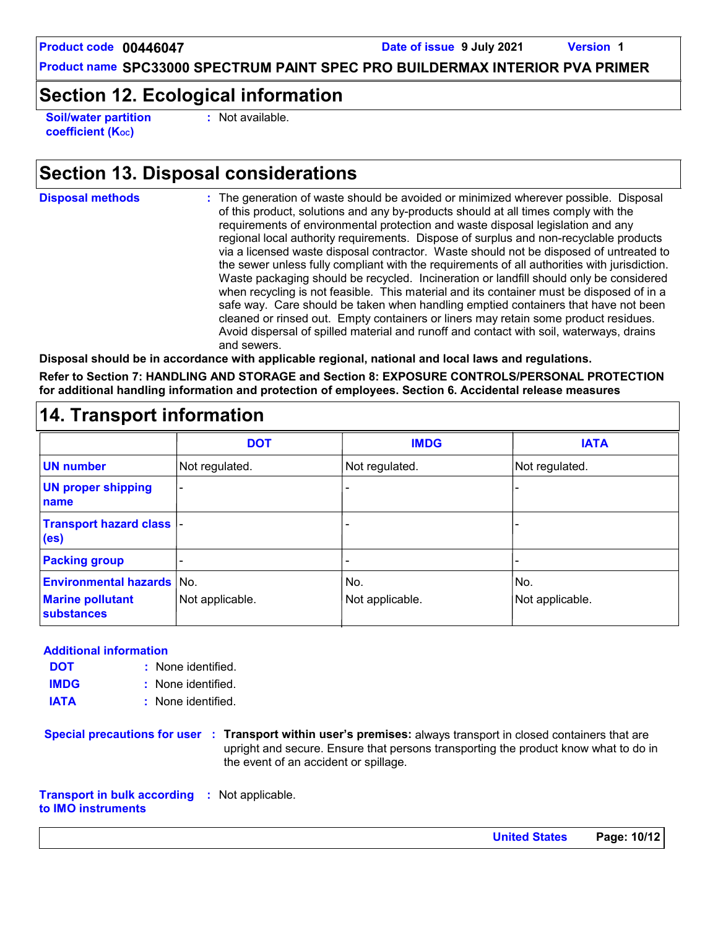**Product name SPC33000 SPECTRUM PAINT SPEC PRO BUILDERMAX INTERIOR PVA PRIMER**

### **Section 12. Ecological information**

**Soil/water partition coefficient (K**<sub>oc</sub>)

**:** Not available.

### **Section 13. Disposal considerations**

**Disposal methods :**

The generation of waste should be avoided or minimized wherever possible. Disposal of this product, solutions and any by-products should at all times comply with the requirements of environmental protection and waste disposal legislation and any regional local authority requirements. Dispose of surplus and non-recyclable products via a licensed waste disposal contractor. Waste should not be disposed of untreated to the sewer unless fully compliant with the requirements of all authorities with jurisdiction. Waste packaging should be recycled. Incineration or landfill should only be considered when recycling is not feasible. This material and its container must be disposed of in a safe way. Care should be taken when handling emptied containers that have not been cleaned or rinsed out. Empty containers or liners may retain some product residues. Avoid dispersal of spilled material and runoff and contact with soil, waterways, drains and sewers.

**Disposal should be in accordance with applicable regional, national and local laws and regulations.**

**Refer to Section 7: HANDLING AND STORAGE and Section 8: EXPOSURE CONTROLS/PERSONAL PROTECTION for additional handling information and protection of employees. Section 6. Accidental release measures**

#### - - - - - - Not regulated. - - Not regulated. Not regulated. **DOT IMDG IATA UN number UN proper shipping name Transport hazard class (es) Packing group Environmental hazards** No. No. No. No. No. No. No. **Marine pollutant substances** Not applicable.  $\vert$  Not applicable.  $\vert$  Not applicable.

### **14. Transport information**

#### **Additional information**

- None identified. **:** None identified. **: DOT IMDG**
- **IATA :** None identified.
- **Special precautions for user Transport within user's premises:** always transport in closed containers that are **:** upright and secure. Ensure that persons transporting the product know what to do in the event of an accident or spillage.

**Transport in bulk according :** Not applicable. **to IMO instruments**

**United States Page: 10/12**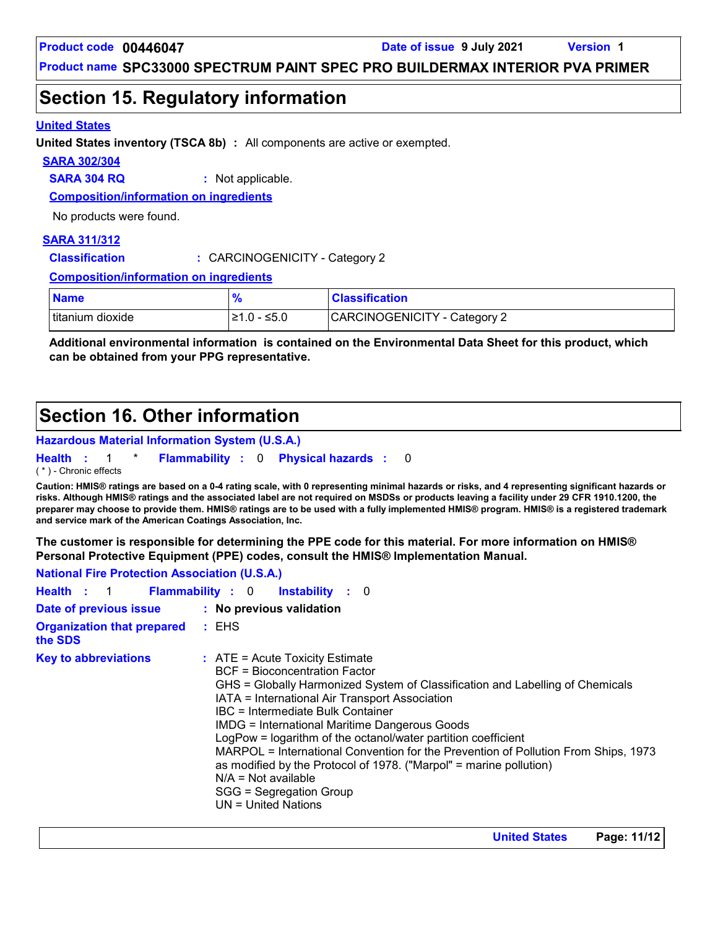### **Section 15. Regulatory information**

#### **United States**

**United States inventory (TSCA 8b) :** All components are active or exempted.

#### **SARA 302/304**

**SARA 304 RQ :** Not applicable.

**Composition/information on ingredients**

No products were found.

#### **SARA 311/312**

**Classification :** CARCINOGENICITY - Category 2

**Composition/information on ingredients**

| <b>Name</b>      | <b>O</b>      | <b>Classification</b>        |
|------------------|---------------|------------------------------|
| titanium dioxide | $≥1.0 - ≤5.0$ | CARCINOGENICITY - Category 2 |

**Additional environmental information is contained on the Environmental Data Sheet for this product, which can be obtained from your PPG representative.**

### **Section 16. Other information**

#### **Hazardous Material Information System (U.S.A.)**

**Health** : 1 \* **Flammability** : 0 **Physical hazards** : 0 0

( \* ) - Chronic effects

**Caution: HMIS® ratings are based on a 0-4 rating scale, with 0 representing minimal hazards or risks, and 4 representing significant hazards or risks. Although HMIS® ratings and the associated label are not required on MSDSs or products leaving a facility under 29 CFR 1910.1200, the preparer may choose to provide them. HMIS® ratings are to be used with a fully implemented HMIS® program. HMIS® is a registered trademark and service mark of the American Coatings Association, Inc.**

**The customer is responsible for determining the PPE code for this material. For more information on HMIS® Personal Protective Equipment (PPE) codes, consult the HMIS® Implementation Manual.**

**National Fire Protection Association (U.S.A.)**

|                                                 | Health : 1 Flammability : 0 Instability : 0                                                                                                                                                                                                                                                                                                                                                                                                                                                                                                                                                                           |
|-------------------------------------------------|-----------------------------------------------------------------------------------------------------------------------------------------------------------------------------------------------------------------------------------------------------------------------------------------------------------------------------------------------------------------------------------------------------------------------------------------------------------------------------------------------------------------------------------------------------------------------------------------------------------------------|
| Date of previous issue : No previous validation |                                                                                                                                                                                                                                                                                                                                                                                                                                                                                                                                                                                                                       |
| <b>Organization that prepared</b><br>the SDS    | $:$ EHS                                                                                                                                                                                                                                                                                                                                                                                                                                                                                                                                                                                                               |
| <b>Key to abbreviations</b>                     | $\therefore$ ATE = Acute Toxicity Estimate<br>BCF = Bioconcentration Factor<br>GHS = Globally Harmonized System of Classification and Labelling of Chemicals<br>IATA = International Air Transport Association<br>IBC = Intermediate Bulk Container<br><b>IMDG = International Maritime Dangerous Goods</b><br>LogPow = logarithm of the octanol/water partition coefficient<br>MARPOL = International Convention for the Prevention of Pollution From Ships, 1973<br>as modified by the Protocol of 1978. ("Marpol" = marine pollution)<br>$N/A = Not available$<br>SGG = Segregation Group<br>$UN = United Nations$ |

**United States Page: 11/12**